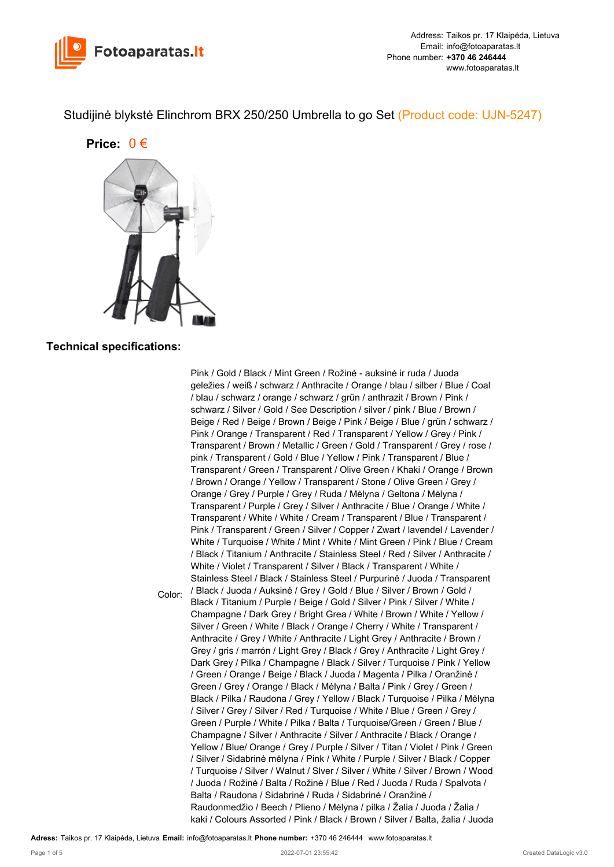

Studijinė blykstė Elinchrom BRX 250/250 Umbrella to go Set (Product code: UJN-5247)

**Price:** 0 €



## **Technical specifications:**

Color: Pink / Gold / Black / Mint Green / Rožinė - auksinė ir ruda / Juoda geležies / weiß / schwarz / Anthracite / Orange / blau / silber / Blue / Coal / blau / schwarz / orange / schwarz / grün / anthrazit / Brown / Pink / schwarz / Silver / Gold / See Description / silver / pink / Blue / Brown / Beige / Red / Beige / Brown / Beige / Pink / Beige / Blue / grün / schwarz / Pink / Orange / Transparent / Red / Transparent / Yellow / Grey / Pink / Transparent / Brown / Metallic / Green / Gold / Transparent / Grey / rose / pink / Transparent / Gold / Blue / Yellow / Pink / Transparent / Blue / Transparent / Green / Transparent / Olive Green / Khaki / Orange / Brown / Brown / Orange / Yellow / Transparent / Stone / Olive Green / Grey / Orange / Grey / Purple / Grey / Ruda / Mėlyna / Geltona / Mėlyna / Transparent / Purple / Grey / Silver / Anthracite / Blue / Orange / White / Transparent / White / White / Cream / Transparent / Blue / Transparent / Pink / Transparent / Green / Silver / Copper / Zwart / lavendel / Lavender / White / Turquoise / White / Mint / White / Mint Green / Pink / Blue / Cream / Black / Titanium / Anthracite / Stainless Steel / Red / Silver / Anthracite / White / Violet / Transparent / Silver / Black / Transparent / White / Stainless Steel / Black / Stainless Steel / Purpurinė / Juoda / Transparent / Black / Juoda / Auksinė / Grey / Gold / Blue / Silver / Brown / Gold / Black / Titanium / Purple / Beige / Gold / Silver / Pink / Silver / White / Champagne / Dark Grey / Bright Grea / White / Brown / White / Yellow / Silver / Green / White / Black / Orange / Cherry / White / Transparent / Anthracite / Grey / White / Anthracite / Light Grey / Anthracite / Brown / Grey / gris / marrón / Light Grey / Black / Grey / Anthracite / Light Grey / Dark Grey / Pilka / Champagne / Black / Silver / Turquoise / Pink / Yellow / Green / Orange / Beige / Black / Juoda / Magenta / Pilka / Oranžinė / Green / Grey / Orange / Black / Mėlyna / Balta / Pink / Grey / Green / Black / Pilka / Raudona / Grey / Yellow / Black / Turquoise / Pilka / Mėlyna / Silver / Grey / Silver / Red / Turquoise / White / Blue / Green / Grey / Green / Purple / White / Pilka / Balta / Turquoise/Green / Green / Blue / Champagne / Silver / Anthracite / Silver / Anthracite / Black / Orange / Yellow / Blue/ Orange / Grey / Purple / Silver / Titan / Violet / Pink / Green / Silver / Sidabrinė mėlyna / Pink / White / Purple / Silver / Black / Copper / Turquoise / Silver / Walnut / Slver / Silver / White / Silver / Brown / Wood / Juoda / Rožinė / Balta / Rožinė / Blue / Red / Juoda / Ruda / Spalvota / Balta / Raudona / Sidabrinė / Ruda / Sidabrinė / Oranžinė / Raudonmedžio / Beech / Plieno / Mėlyna / pilka / Žalia / Juoda / Žalia / kaki / Colours Assorted / Pink / Black / Brown / Silver / Balta, žalia / Juoda

**Adress:** Taikos pr. 17 Klaipėda, Lietuva **Email:** info@fotoaparatas.lt **Phone number:** +370 46 246444 www.fotoaparatas.lt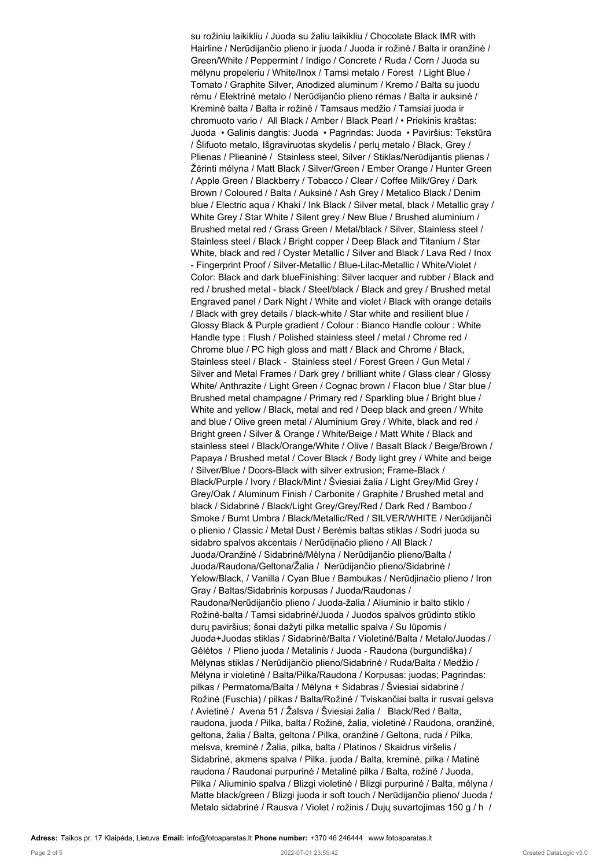su rožiniu laikikliu / Juoda su žaliu laikikliu / Chocolate Black IMR with Hairline / Nerūdijančio plieno ir juoda / Juoda ir rožinė / Balta ir oranžinė / Green/White / Peppermint / Indigo / Concrete / Ruda / Corn / Juoda su mėlynu propeleriu / White/Inox / Tamsi metalo / Forest / Light Blue / Tomato / Graphite Silver, Anodized aluminum / Kremo / Balta su juodu rėmu / Elektrinė metalo / Nerūdijančio plieno rėmas / Balta ir auksinė / Kreminė balta / Balta ir rožinė / Tamsaus medžio / Tamsiai juoda ir chromuoto vario / All Black / Amber / Black Pearl / • Priekinis kraštas: Juoda • Galinis dangtis: Juoda • Pagrindas: Juoda • Paviršius: Tekstūra / Šlifuoto metalo, Išgraviruotas skydelis / perlų metalo / Black, Grey / Plienas / Plieaninė / Stainless steel, Silver / Stiklas/Nerūdijantis plienas / Žėrinti mėlyna / Matt Black / Silver/Green / Ember Orange / Hunter Green / Apple Green / Blackberry / Tobacco / Clear / Coffee Milk/Grey / Dark Brown / Coloured / Balta / Auksinė / Ash Grey / Metalico Black / Denim blue / Electric aqua / Khaki / Ink Black / Silver metal, black / Metallic gray / White Grey / Star White / Silent grey / New Blue / Brushed aluminium / Brushed metal red / Grass Green / Metal/black / Silver, Stainless steel / Stainless steel / Black / Bright copper / Deep Black and Titanium / Star White, black and red / Oyster Metallic / Silver and Black / Lava Red / Inox - Fingerprint Proof / Silver-Metallic / Blue-Lilac-Metallic / White/Violet / Color: Black and dark blueFinishing: Silver lacquer and rubber / Black and red / brushed metal - black / Steel/black / Black and grey / Brushed metal Engraved panel / Dark Night / White and violet / Black with orange details / Black with grey details / black-white / Star white and resilient blue / Glossy Black & Purple gradient / Colour : Bianco Handle colour : White Handle type : Flush / Polished stainless steel / metal / Chrome red / Chrome blue / PC high gloss and matt / Black and Chrome / Black, Stainless steel / Black - Stainless steel / Forest Green / Gun Metal / Silver and Metal Frames / Dark grey / brilliant white / Glass clear / Glossy White/ Anthrazite / Light Green / Cognac brown / Flacon blue / Star blue / Brushed metal champagne / Primary red / Sparkling blue / Bright blue / White and yellow / Black, metal and red / Deep black and green / White and blue / Olive green metal / Aluminium Grey / White, black and red / Bright green / Silver & Orange / White/Beige / Matt White / Black and stainless steel / Black/Orange/White / Olive / Basalt Black / Beige/Brown / Papaya / Brushed metal / Cover Black / Body light grey / White and beige / Silver/Blue / Doors-Black with silver extrusion; Frame-Black / Black/Purple / Ivory / Black/Mint / Šviesiai žalia / Light Grey/Mid Grey / Grey/Oak / Aluminum Finish / Carbonite / Graphite / Brushed metal and black / Sidabrinė / Black/Light Grey/Grey/Red / Dark Red / Bamboo / Smoke / Burnt Umbra / Black/Metallic/Red / SILVER/WHITE / Nerūdijanči o plienio / Classic / Metal Dust / Berėmis baltas stiklas / Sodri juoda su sidabro spalvos akcentais / Nerūdijnačio plieno / All Black / Juoda/Oranžinė / Sidabrinė/Mėlyna / Nerūdijančio plieno/Balta / Juoda/Raudona/Geltona/Žalia / Nerūdijančio plieno/Sidabrinė / Yelow/Black, / Vanilla / Cyan Blue / Bambukas / Nerūdjinačio plieno / Iron Gray / Baltas/Sidabrinis korpusas / Juoda/Raudonas / Raudona/Nerūdijančio plieno / Juoda-žalia / Aliuminio ir balto stiklo / Rožinė-balta / Tamsi sidabrinė/Juoda / Juodos spalvos grūdinto stiklo durų paviršius; šonai dažyti pilka metallic spalva / Su lūpomis / Juoda+Juodas stiklas / Sidabrinė/Balta / Violetinė/Balta / Metalo/Juodas / Gėlėtos / Plieno juoda / Metalinis / Juoda - Raudona (burgundiška) / Mėlynas stiklas / Nerūdijančio plieno/Sidabrinė / Ruda/Balta / Medžio / Mėlyna ir violetinė / Balta/Pilka/Raudona / Korpusas: juodas; Pagrindas: pilkas / Permatoma/Balta / Mėlyna + Sidabras / Šviesiai sidabrinė / Rožinė (Fuschia) / pilkas / Balta/Rožinė / Tviskančiai balta ir rusvai gelsva / Avietinė / Avena 51 / Žalsva / Šviesiai žalia / Black/Red / Balta, raudona, juoda / Pilka, balta / Rožinė, žalia, violetinė / Raudona, oranžinė, geltona, žalia / Balta, geltona / Pilka, oranžinė / Geltona, ruda / Pilka, melsva, kreminė / Žalia, pilka, balta / Platinos / Skaidrus viršelis / Sidabrinė, akmens spalva / Pilka, juoda / Balta, kreminė, pilka / Matinė raudona / Raudonai purpurinė / Metalinė pilka / Balta, rožinė / Juoda, Pilka / Aliuminio spalva / Blizgi violetinė / Blizgi purpurinė / Balta, mėlyna / Matte black/green / Blizgi juoda ir soft touch / Nerūdijančio plieno/ Juoda / Metalo sidabrinė / Rausva / Violet / rožinis / Dujų suvartojimas 150 g / h /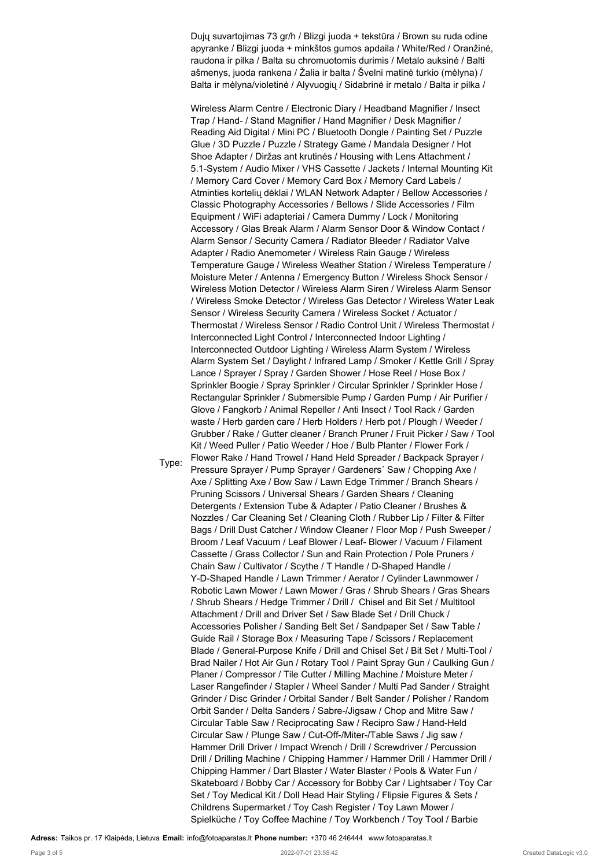Dujų suvartojimas 73 gr/h / Blizgi juoda + tekstūra / Brown su ruda odine apyranke / Blizgi juoda + minkštos gumos apdaila / White/Red / Oranžinė, raudona ir pilka / Balta su chromuotomis durimis / Metalo auksinė / Balti ašmenys, juoda rankena / Žalia ir balta / Švelni matinė turkio (mėlyna) / Balta ir mėlyna/violetinė / Alyvuogių / Sidabrinė ir metalo / Balta ir pilka /

Wireless Alarm Centre / Electronic Diary / Headband Magnifier / Insect Trap / Hand- / Stand Magnifier / Hand Magnifier / Desk Magnifier / Reading Aid Digital / Mini PC / Bluetooth Dongle / Painting Set / Puzzle Glue / 3D Puzzle / Puzzle / Strategy Game / Mandala Designer / Hot Shoe Adapter / Diržas ant krutinės / Housing with Lens Attachment / 5.1-System / Audio Mixer / VHS Cassette / Jackets / Internal Mounting Kit / Memory Card Cover / Memory Card Box / Memory Card Labels / Atminties kortelių dėklai / WLAN Network Adapter / Bellow Accessories / Classic Photography Accessories / Bellows / Slide Accessories / Film Equipment / WiFi adapteriai / Camera Dummy / Lock / Monitoring Accessory / Glas Break Alarm / Alarm Sensor Door & Window Contact / Alarm Sensor / Security Camera / Radiator Bleeder / Radiator Valve Adapter / Radio Anemometer / Wireless Rain Gauge / Wireless Temperature Gauge / Wireless Weather Station / Wireless Temperature / Moisture Meter / Antenna / Emergency Button / Wireless Shock Sensor / Wireless Motion Detector / Wireless Alarm Siren / Wireless Alarm Sensor / Wireless Smoke Detector / Wireless Gas Detector / Wireless Water Leak Sensor / Wireless Security Camera / Wireless Socket / Actuator / Thermostat / Wireless Sensor / Radio Control Unit / Wireless Thermostat / Interconnected Light Control / Interconnected Indoor Lighting / Interconnected Outdoor Lighting / Wireless Alarm System / Wireless Alarm System Set / Daylight / Infrared Lamp / Smoker / Kettle Grill / Spray Lance / Sprayer / Spray / Garden Shower / Hose Reel / Hose Box / Sprinkler Boogie / Spray Sprinkler / Circular Sprinkler / Sprinkler Hose / Rectangular Sprinkler / Submersible Pump / Garden Pump / Air Purifier / Glove / Fangkorb / Animal Repeller / Anti Insect / Tool Rack / Garden waste / Herb garden care / Herb Holders / Herb pot / Plough / Weeder / Grubber / Rake / Gutter cleaner / Branch Pruner / Fruit Picker / Saw / Tool Kit / Weed Puller / Patio Weeder / Hoe / Bulb Planter / Flower Fork / Flower Rake / Hand Trowel / Hand Held Spreader / Backpack Sprayer / Pressure Sprayer / Pump Sprayer / Gardeners' Saw / Chopping Axe / Axe / Splitting Axe / Bow Saw / Lawn Edge Trimmer / Branch Shears / Pruning Scissors / Universal Shears / Garden Shears / Cleaning Detergents / Extension Tube & Adapter / Patio Cleaner / Brushes & Nozzles / Car Cleaning Set / Cleaning Cloth / Rubber Lip / Filter & Filter Bags / Drill Dust Catcher / Window Cleaner / Floor Mop / Push Sweeper / Broom / Leaf Vacuum / Leaf Blower / Leaf- Blower / Vacuum / Filament Cassette / Grass Collector / Sun and Rain Protection / Pole Pruners / Chain Saw / Cultivator / Scythe / T Handle / D-Shaped Handle / Y-D-Shaped Handle / Lawn Trimmer / Aerator / Cylinder Lawnmower / Robotic Lawn Mower / Lawn Mower / Gras / Shrub Shears / Gras Shears / Shrub Shears / Hedge Trimmer / Drill / Chisel and Bit Set / Multitool Attachment / Drill and Driver Set / Saw Blade Set / Drill Chuck / Accessories Polisher / Sanding Belt Set / Sandpaper Set / Saw Table / Guide Rail / Storage Box / Measuring Tape / Scissors / Replacement Blade / General-Purpose Knife / Drill and Chisel Set / Bit Set / Multi-Tool / Brad Nailer / Hot Air Gun / Rotary Tool / Paint Spray Gun / Caulking Gun / Planer / Compressor / Tile Cutter / Milling Machine / Moisture Meter / Laser Rangefinder / Stapler / Wheel Sander / Multi Pad Sander / Straight Grinder / Disc Grinder / Orbital Sander / Belt Sander / Polisher / Random Orbit Sander / Delta Sanders / Sabre-/Jigsaw / Chop and Mitre Saw / Circular Table Saw / Reciprocating Saw / Recipro Saw / Hand-Held Circular Saw / Plunge Saw / Cut-Off-/Miter-/Table Saws / Jig saw / Hammer Drill Driver / Impact Wrench / Drill / Screwdriver / Percussion Drill / Drilling Machine / Chipping Hammer / Hammer Drill / Hammer Drill / Chipping Hammer / Dart Blaster / Water Blaster / Pools & Water Fun / Skateboard / Bobby Car / Accessory for Bobby Car / Lightsaber / Toy Car Set / Toy Medical Kit / Doll Head Hair Styling / Flipsie Figures & Sets / Childrens Supermarket / Toy Cash Register / Toy Lawn Mower / Spielküche / Toy Coffee Machine / Toy Workbench / Toy Tool / Barbie

**Adress:** Taikos pr. 17 Klaipėda, Lietuva **Email:** info@fotoaparatas.lt **Phone number:** +370 46 246444 www.fotoaparatas.lt

Type: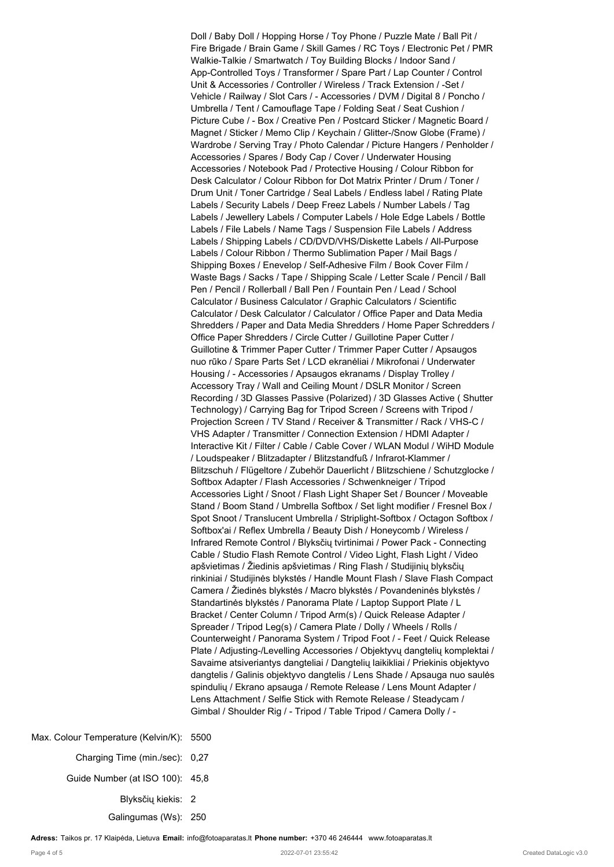Doll / Baby Doll / Hopping Horse / Toy Phone / Puzzle Mate / Ball Pit / Fire Brigade / Brain Game / Skill Games / RC Toys / Electronic Pet / PMR Walkie-Talkie / Smartwatch / Toy Building Blocks / Indoor Sand / App-Controlled Toys / Transformer / Spare Part / Lap Counter / Control Unit & Accessories / Controller / Wireless / Track Extension / -Set / Vehicle / Railway / Slot Cars / - Accessories / DVM / Digital 8 / Poncho / Umbrella / Tent / Camouflage Tape / Folding Seat / Seat Cushion / Picture Cube / - Box / Creative Pen / Postcard Sticker / Magnetic Board / Magnet / Sticker / Memo Clip / Keychain / Glitter-/Snow Globe (Frame) / Wardrobe / Serving Tray / Photo Calendar / Picture Hangers / Penholder / Accessories / Spares / Body Cap / Cover / Underwater Housing Accessories / Notebook Pad / Protective Housing / Colour Ribbon for Desk Calculator / Colour Ribbon for Dot Matrix Printer / Drum / Toner / Drum Unit / Toner Cartridge / Seal Labels / Endless label / Rating Plate Labels / Security Labels / Deep Freez Labels / Number Labels / Tag Labels / Jewellery Labels / Computer Labels / Hole Edge Labels / Bottle Labels / File Labels / Name Tags / Suspension File Labels / Address Labels / Shipping Labels / CD/DVD/VHS/Diskette Labels / All-Purpose Labels / Colour Ribbon / Thermo Sublimation Paper / Mail Bags / Shipping Boxes / Enevelop / Self-Adhesive Film / Book Cover Film / Waste Bags / Sacks / Tape / Shipping Scale / Letter Scale / Pencil / Ball Pen / Pencil / Rollerball / Ball Pen / Fountain Pen / Lead / School Calculator / Business Calculator / Graphic Calculators / Scientific Calculator / Desk Calculator / Calculator / Office Paper and Data Media Shredders / Paper and Data Media Shredders / Home Paper Schredders / Office Paper Shredders / Circle Cutter / Guillotine Paper Cutter / Guillotine & Trimmer Paper Cutter / Trimmer Paper Cutter / Apsaugos nuo rūko / Spare Parts Set / LCD ekranėliai / Mikrofonai / Underwater Housing / - Accessories / Apsaugos ekranams / Display Trolley / Accessory Tray / Wall and Ceiling Mount / DSLR Monitor / Screen Recording / 3D Glasses Passive (Polarized) / 3D Glasses Active ( Shutter Technology) / Carrying Bag for Tripod Screen / Screens with Tripod / Projection Screen / TV Stand / Receiver & Transmitter / Rack / VHS-C / VHS Adapter / Transmitter / Connection Extension / HDMI Adapter / Interactive Kit / Filter / Cable / Cable Cover / WLAN Modul / WiHD Module / Loudspeaker / Blitzadapter / Blitzstandfuß / Infrarot-Klammer / Blitzschuh / Flügeltore / Zubehör Dauerlicht / Blitzschiene / Schutzglocke / Softbox Adapter / Flash Accessories / Schwenkneiger / Tripod Accessories Light / Snoot / Flash Light Shaper Set / Bouncer / Moveable Stand / Boom Stand / Umbrella Softbox / Set light modifier / Fresnel Box / Spot Snoot / Translucent Umbrella / Striplight-Softbox / Octagon Softbox / Softbox'ai / Reflex Umbrella / Beauty Dish / Honeycomb / Wireless / Infrared Remote Control / Blyksčių tvirtinimai / Power Pack - Connecting Cable / Studio Flash Remote Control / Video Light, Flash Light / Video apšvietimas / Žiedinis apšvietimas / Ring Flash / Studijinių blyksčių rinkiniai / Studijinės blykstės / Handle Mount Flash / Slave Flash Compact Camera / Žiedinės blykstės / Macro blykstės / Povandeninės blykstės / Standartinės blykstės / Panorama Plate / Laptop Support Plate / L Bracket / Center Column / Tripod Arm(s) / Quick Release Adapter / Spreader / Tripod Leg(s) / Camera Plate / Dolly / Wheels / Rolls / Counterweight / Panorama System / Tripod Foot / - Feet / Quick Release Plate / Adjusting-/Levelling Accessories / Objektyvų dangtelių komplektai / Savaime atsiveriantys dangteliai / Dangtelių laikikliai / Priekinis objektyvo dangtelis / Galinis objektyvo dangtelis / Lens Shade / Apsauga nuo saulės spindulių / Ekrano apsauga / Remote Release / Lens Mount Adapter / Lens Attachment / Selfie Stick with Remote Release / Steadycam / Gimbal / Shoulder Rig / - Tripod / Table Tripod / Camera Dolly / -

Max. Colour Temperature (Kelvin/K): 5500 Charging Time (min./sec): 0,27 Guide Number (at ISO 100): 45,8 Blyksčių kiekis: 2

Galingumas (Ws): 250

**Adress:** Taikos pr. 17 Klaipėda, Lietuva **Email:** info@fotoaparatas.lt **Phone number:** +370 46 246444 www.fotoaparatas.lt